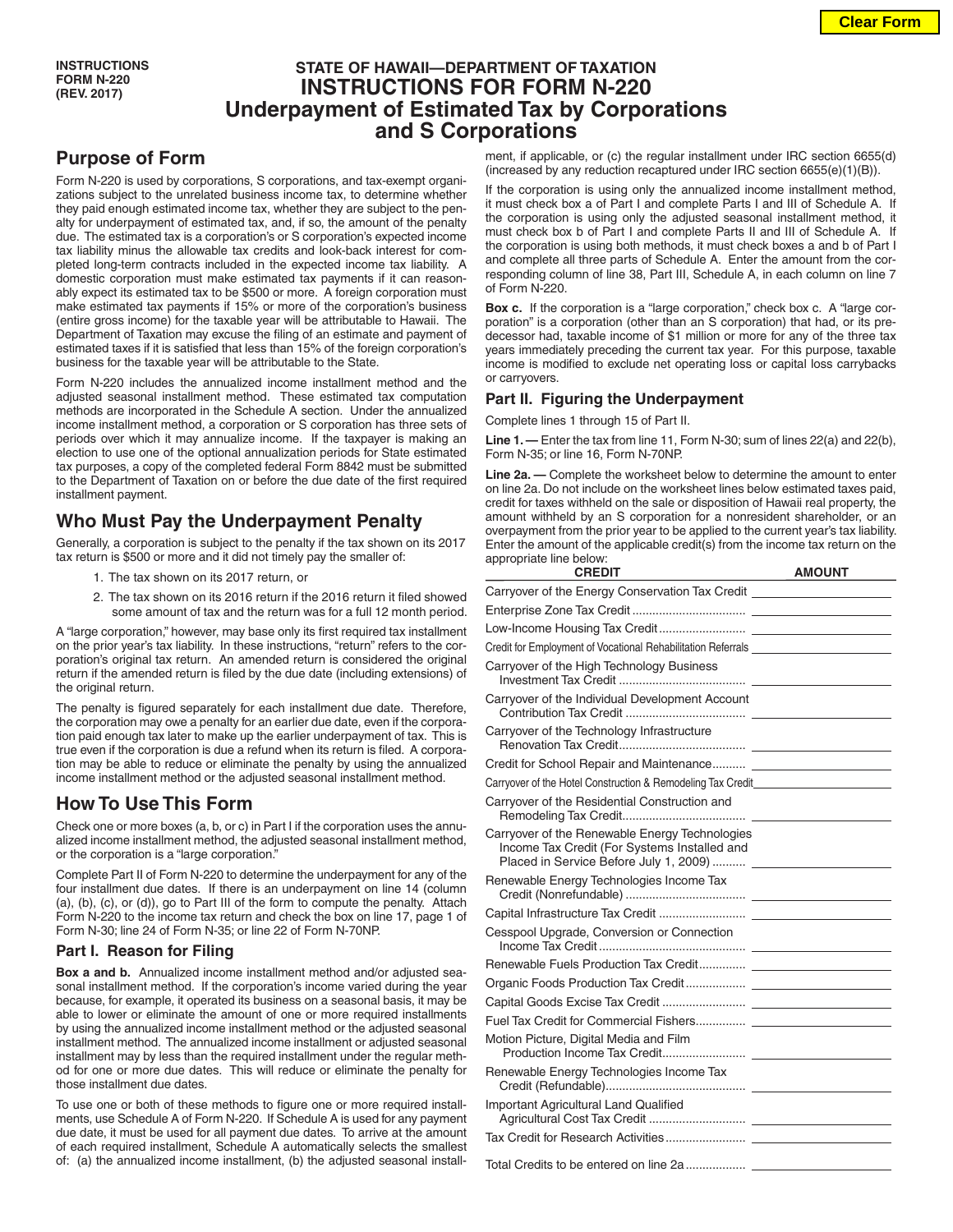## **STATE OF HAWAII—DEPARTMENT OF TAXATION INSTRUCTIONS FOR FORM N-220 Underpayment of Estimated Tax by Corporations and S Corporations**

# **Purpose of Form**

Form N-220 is used by corporations, S corporations, and tax-exempt organizations subject to the unrelated business income tax, to determine whether they paid enough estimated income tax, whether they are subject to the penalty for underpayment of estimated tax, and, if so, the amount of the penalty due. The estimated tax is a corporation's or S corporation's expected income tax liability minus the allowable tax credits and look-back interest for completed long-term contracts included in the expected income tax liability. A domestic corporation must make estimated tax payments if it can reasonably expect its estimated tax to be \$500 or more. A foreign corporation must make estimated tax payments if 15% or more of the corporation's business (entire gross income) for the taxable year will be attributable to Hawaii. The Department of Taxation may excuse the filing of an estimate and payment of estimated taxes if it is satisfied that less than 15% of the foreign corporation's business for the taxable year will be attributable to the State.

Form N-220 includes the annualized income installment method and the adjusted seasonal installment method. These estimated tax computation methods are incorporated in the Schedule A section. Under the annualized income installment method, a corporation or S corporation has three sets of periods over which it may annualize income. If the taxpayer is making an election to use one of the optional annualization periods for State estimated tax purposes, a copy of the completed federal Form 8842 must be submitted to the Department of Taxation on or before the due date of the first required installment payment.

## **Who Must Pay the Underpayment Penalty**

Generally, a corporation is subject to the penalty if the tax shown on its 2017 tax return is \$500 or more and it did not timely pay the smaller of:

- 1. The tax shown on its 2017 return, or
- 2. The tax shown on its 2016 return if the 2016 return it filed showed some amount of tax and the return was for a full 12 month period.

A "large corporation," however, may base only its first required tax installment on the prior year's tax liability. In these instructions, "return" refers to the corporation's original tax return. An amended return is considered the original return if the amended return is filed by the due date (including extensions) of the original return.

The penalty is figured separately for each installment due date. Therefore, the corporation may owe a penalty for an earlier due date, even if the corporation paid enough tax later to make up the earlier underpayment of tax. This is true even if the corporation is due a refund when its return is filed. A corporation may be able to reduce or eliminate the penalty by using the annualized income installment method or the adjusted seasonal installment method.

## **How To Use This Form**

Check one or more boxes (a, b, or c) in Part I if the corporation uses the annualized income installment method, the adjusted seasonal installment method, or the corporation is a "large corporation."

Complete Part II of Form N-220 to determine the underpayment for any of the four installment due dates. If there is an underpayment on line 14 (column (a), (b), (c), or (d)), go to Part III of the form to compute the penalty. Attach Form N-220 to the income tax return and check the box on line 17, page 1 of Form N-30; line 24 of Form N-35; or line 22 of Form N-70NP.

### **Part I. Reason for Filing**

**Box a and b.** Annualized income installment method and/or adjusted seasonal installment method. If the corporation's income varied during the year because, for example, it operated its business on a seasonal basis, it may be able to lower or eliminate the amount of one or more required installments by using the annualized income installment method or the adjusted seasonal installment method. The annualized income installment or adjusted seasonal installment may by less than the required installment under the regular method for one or more due dates. This will reduce or eliminate the penalty for those installment due dates.

To use one or both of these methods to figure one or more required installments, use Schedule A of Form N-220. If Schedule A is used for any payment due date, it must be used for all payment due dates. To arrive at the amount of each required installment, Schedule A automatically selects the smallest of: (a) the annualized income installment, (b) the adjusted seasonal installment, if applicable, or (c) the regular installment under IRC section 6655(d) (increased by any reduction recaptured under IRC section 6655(e)(1)(B)).

If the corporation is using only the annualized income installment method, it must check box a of Part I and complete Parts I and III of Schedule A. If the corporation is using only the adjusted seasonal installment method, it must check box b of Part I and complete Parts II and III of Schedule A. If the corporation is using both methods, it must check boxes a and b of Part I and complete all three parts of Schedule A. Enter the amount from the corresponding column of line 38, Part III, Schedule A, in each column on line 7 of Form N-220.

**Box c.** If the corporation is a "large corporation," check box c. A "large corporation" is a corporation (other than an S corporation) that had, or its predecessor had, taxable income of \$1 million or more for any of the three tax years immediately preceding the current tax year. For this purpose, taxable income is modified to exclude net operating loss or capital loss carrybacks or carryovers.

### **Part II. Figuring the Underpayment**

Complete lines 1 through 15 of Part II.

**Line 1. —** Enter the tax from line 11, Form N-30; sum of lines 22(a) and 22(b), Form N-35; or line 16, Form N-70NP.

**Line 2a. —** Complete the worksheet below to determine the amount to enter on line 2a. Do not include on the worksheet lines below estimated taxes paid, credit for taxes withheld on the sale or disposition of Hawaii real property, the amount withheld by an S corporation for a nonresident shareholder, or an overpayment from the prior year to be applied to the current year's tax liability. Enter the amount of the applicable credit(s) from the income tax return on the appropriate line below:

| <b>CREDIT</b>                                                                                                                            | <b>AMOUNT</b> |
|------------------------------------------------------------------------------------------------------------------------------------------|---------------|
|                                                                                                                                          |               |
|                                                                                                                                          |               |
|                                                                                                                                          |               |
| Credit for Employment of Vocational Rehabilitation Referrals ___________________                                                         |               |
| Carryover of the High Technology Business                                                                                                |               |
| Carryover of the Individual Development Account                                                                                          |               |
| Carryover of the Technology Infrastructure                                                                                               |               |
|                                                                                                                                          |               |
| Carryover of the Hotel Construction & Remodeling Tax Credit_____________________                                                         |               |
| Carryover of the Residential Construction and                                                                                            |               |
| Carryover of the Renewable Energy Technologies<br>Income Tax Credit (For Systems Installed and<br>Placed in Service Before July 1, 2009) |               |
| Renewable Energy Technologies Income Tax                                                                                                 |               |
|                                                                                                                                          |               |
| Cesspool Upgrade, Conversion or Connection                                                                                               |               |
|                                                                                                                                          |               |
|                                                                                                                                          |               |
|                                                                                                                                          |               |
|                                                                                                                                          |               |
| Motion Picture, Digital Media and Film                                                                                                   |               |
| Renewable Energy Technologies Income Tax                                                                                                 |               |
| Important Agricultural Land Qualified                                                                                                    |               |
|                                                                                                                                          |               |
|                                                                                                                                          |               |